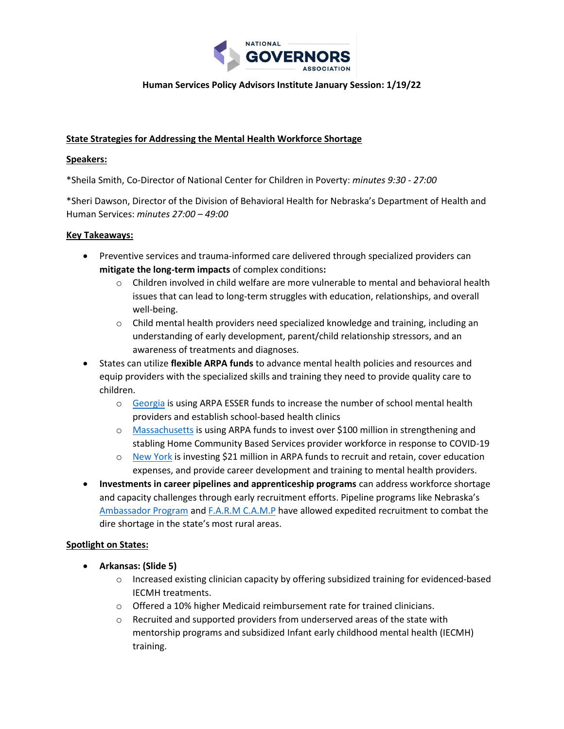

### **Human Services Policy Advisors Institute January Session: 1/19/22**

### **State Strategies for Addressing the Mental Health Workforce Shortage**

#### **Speakers:**

\*Sheila Smith, Co-Director of National Center for Children in Poverty: *minutes 9:30 - 27:00*

\*Sheri Dawson, Director of the Division of Behavioral Health for Nebraska's Department of Health and Human Services: *minutes 27:00 – 49:00*

#### **Key Takeaways:**

- Preventive services and trauma-informed care delivered through specialized providers can **mitigate the long-term impacts** of complex conditions**:**
	- $\circ$  Children involved in child welfare are more vulnerable to mental and behavioral health issues that can lead to long-term struggles with education, relationships, and overall well-being.
	- $\circ$  Child mental health providers need specialized knowledge and training, including an understanding of early development, parent/child relationship stressors, and an awareness of treatments and diagnoses.
- States can utilize **flexible ARPA funds** to advance mental health policies and resources and equip providers with the specialized skills and training they need to provide quality care to children.
	- o [Georgia](https://oese.ed.gov/files/2021/06/Georgia-ARP-ESSER-State-Plan.pdf) is using ARPA ESSER funds to increase the number of school mental health providers and establish school-based health clinics
	- o [Massachusetts](https://www.mass.gov/doc/hcbs-arpa-technology-forum-92721/download) is using ARPA funds to invest over \$100 million in strengthening and stabling Home Community Based Services provider workforce in response to COVID-19
	- o [New York](https://www.governor.ny.gov/news/governor-hochul-announces-availability-21-million-federal-funding-strengthen-states-mental) is investing \$21 million in ARPA funds to recruit and retain, cover education expenses, and provide career development and training to mental health providers.
- **Investments in career pipelines and apprenticeship programs** can address workforce shortage and capacity challenges through early recruitment efforts. Pipeline programs like Nebraska's [Ambassador Program](https://www.unmc.edu/bhecn/programs/ambassador-program/index.html) and [F.A.R.M C.A.M.P](https://www.westernnebraskabehavioralhealth.com/f-a-r-m-c-a-m-p) have allowed expedited recruitment to combat the dire shortage in the state's most rural areas.

### **Spotlight on States:**

- **Arkansas: (Slide 5)**
	- o Increased existing clinician capacity by offering subsidized training for evidenced-based IECMH treatments.
	- o Offered a 10% higher Medicaid reimbursement rate for trained clinicians.
	- $\circ$  Recruited and supported providers from underserved areas of the state with mentorship programs and subsidized Infant early childhood mental health (IECMH) training.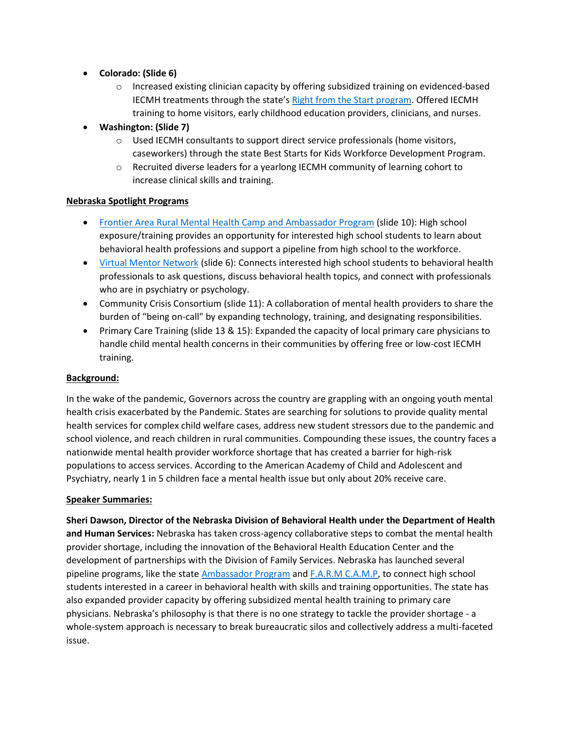- **Colorado: (Slide 6)**
	- $\circ$  Increased existing clinician capacity by offering subsidized training on evidenced-based IECMH treatments through the state's [Right from the Start program.](https://mhcd.org/right-start-colorado/) Offered IECMH training to home visitors, early childhood education providers, clinicians, and nurses.
- **Washington: (Slide 7)**
	- $\circ$  Used IECMH consultants to support direct service professionals (home visitors, caseworkers) through the state Best Starts for Kids Workforce Development Program.
	- o Recruited diverse leaders for a yearlong IECMH community of learning cohort to increase clinical skills and training.

# **Nebraska Spotlight Programs**

- [Frontier Area Rural Mental Health Camp](https://www.ruralhealthinfo.org/project-examples/1024) and Ambassador Program (slide 10): High school exposure/training provides an opportunity for interested high school students to learn about behavioral health professions and support a pipeline from high school to the workforce.
- [Virtual Mentor Network](https://www.unmc.edu/bhecn/programs/Virtual-Mentor-Network.html) (slide 6): Connects interested high school students to behavioral health professionals to ask questions, discuss behavioral health topics, and connect with professionals who are in psychiatry or psychology.
- Community Crisis Consortium (slide 11): A collaboration of mental health providers to share the burden of "being on-call" by expanding technology, training, and designating responsibilities.
- Primary Care Training (slide 13 & 15): Expanded the capacity of local primary care physicians to handle child mental health concerns in their communities by offering free or low-cost IECMH training.

# **Background:**

In the wake of the pandemic, Governors across the country are grappling with an ongoing youth mental health crisis exacerbated by the Pandemic. States are searching for solutions to provide quality mental health services for complex child welfare cases, address new student stressors due to the pandemic and school violence, and reach children in rural communities. Compounding these issues, the country faces a nationwide mental health provider workforce shortage that has created a barrier for high-risk populations to access services. According to the American Academy of Child and Adolescent and Psychiatry, nearly 1 in 5 children face a mental health issue but only about 20% receive care.

# **Speaker Summaries:**

**Sheri Dawson, Director of the Nebraska Division of Behavioral Health under the Department of Health and Human Services:** Nebraska has taken cross-agency collaborative steps to combat the mental health provider shortage, including the innovation of the Behavioral Health Education Center and the development of partnerships with the Division of Family Services. Nebraska has launched several pipeline programs, like the stat[e Ambassador Program](https://www.unmc.edu/bhecn/programs/ambassador-program/index.html) and [F.A.R.M C.A.M.P,](https://www.westernnebraskabehavioralhealth.com/f-a-r-m-c-a-m-p) to connect high school students interested in a career in behavioral health with skills and training opportunities. The state has also expanded provider capacity by offering subsidized mental health training to primary care physicians. Nebraska's philosophy is that there is no one strategy to tackle the provider shortage - a whole-system approach is necessary to break bureaucratic silos and collectively address a multi-faceted issue.